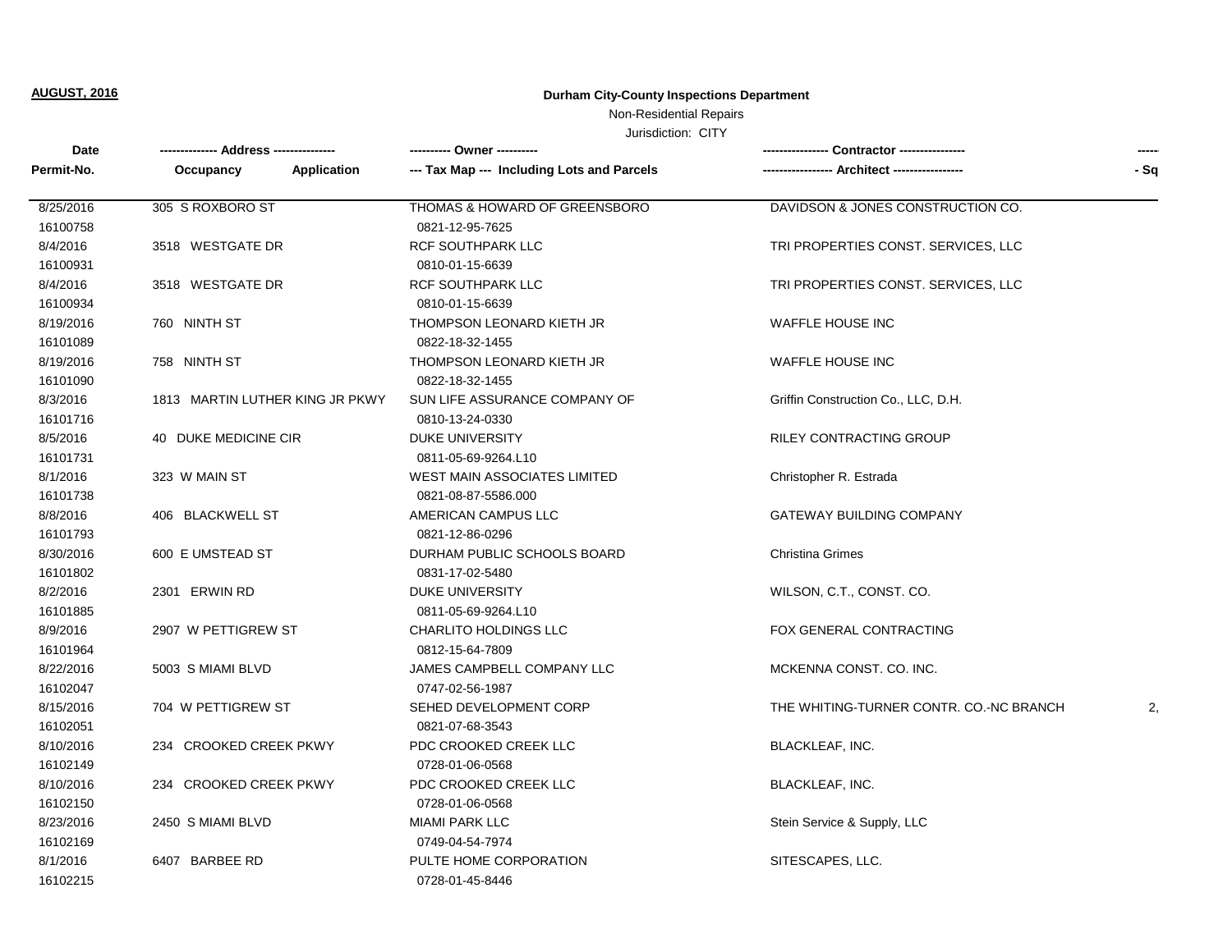## Non-Residential Repairs

| Date       |                                 |                                            | <b>Contractor ----------------</b>      | ----- |
|------------|---------------------------------|--------------------------------------------|-----------------------------------------|-------|
| Permit-No. | Application<br>Occupancy        | --- Tax Map --- Including Lots and Parcels | <b>Architect -----------</b>            | - Sq  |
| 8/25/2016  | 305 S ROXBORO ST                | THOMAS & HOWARD OF GREENSBORO              | DAVIDSON & JONES CONSTRUCTION CO.       |       |
| 16100758   |                                 | 0821-12-95-7625                            |                                         |       |
| 8/4/2016   | 3518 WESTGATE DR                | <b>RCF SOUTHPARK LLC</b>                   | TRI PROPERTIES CONST. SERVICES, LLC     |       |
| 16100931   |                                 | 0810-01-15-6639                            |                                         |       |
| 8/4/2016   | 3518 WESTGATE DR                | <b>RCF SOUTHPARK LLC</b>                   | TRI PROPERTIES CONST. SERVICES, LLC     |       |
| 16100934   |                                 | 0810-01-15-6639                            |                                         |       |
| 8/19/2016  | 760 NINTH ST                    | THOMPSON LEONARD KIETH JR                  | <b>WAFFLE HOUSE INC</b>                 |       |
| 16101089   |                                 | 0822-18-32-1455                            |                                         |       |
| 8/19/2016  | 758 NINTH ST                    | THOMPSON LEONARD KIETH JR                  | <b>WAFFLE HOUSE INC</b>                 |       |
| 16101090   |                                 | 0822-18-32-1455                            |                                         |       |
| 8/3/2016   | 1813 MARTIN LUTHER KING JR PKWY | SUN LIFE ASSURANCE COMPANY OF              | Griffin Construction Co., LLC, D.H.     |       |
| 16101716   |                                 | 0810-13-24-0330                            |                                         |       |
| 8/5/2016   | 40 DUKE MEDICINE CIR            | <b>DUKE UNIVERSITY</b>                     | <b>RILEY CONTRACTING GROUP</b>          |       |
| 16101731   |                                 | 0811-05-69-9264.L10                        |                                         |       |
| 8/1/2016   | 323 W MAIN ST                   | <b>WEST MAIN ASSOCIATES LIMITED</b>        | Christopher R. Estrada                  |       |
| 16101738   |                                 | 0821-08-87-5586.000                        |                                         |       |
| 8/8/2016   | 406 BLACKWELL ST                | AMERICAN CAMPUS LLC                        | <b>GATEWAY BUILDING COMPANY</b>         |       |
| 16101793   |                                 | 0821-12-86-0296                            |                                         |       |
| 8/30/2016  | 600 E UMSTEAD ST                | DURHAM PUBLIC SCHOOLS BOARD                | <b>Christina Grimes</b>                 |       |
| 16101802   |                                 | 0831-17-02-5480                            |                                         |       |
| 8/2/2016   | 2301 ERWIN RD                   | <b>DUKE UNIVERSITY</b>                     | WILSON, C.T., CONST. CO.                |       |
| 16101885   |                                 | 0811-05-69-9264.L10                        |                                         |       |
| 8/9/2016   | 2907 W PETTIGREW ST             | <b>CHARLITO HOLDINGS LLC</b>               | FOX GENERAL CONTRACTING                 |       |
| 16101964   |                                 | 0812-15-64-7809                            |                                         |       |
| 8/22/2016  | 5003 S MIAMI BLVD               | JAMES CAMPBELL COMPANY LLC                 | MCKENNA CONST. CO. INC.                 |       |
| 16102047   |                                 | 0747-02-56-1987                            |                                         |       |
| 8/15/2016  | 704 W PETTIGREW ST              | SEHED DEVELOPMENT CORP                     | THE WHITING-TURNER CONTR. CO.-NC BRANCH | 2,    |
| 16102051   |                                 | 0821-07-68-3543                            |                                         |       |
| 8/10/2016  | 234 CROOKED CREEK PKWY          | PDC CROOKED CREEK LLC                      | <b>BLACKLEAF, INC.</b>                  |       |
| 16102149   |                                 | 0728-01-06-0568                            |                                         |       |
| 8/10/2016  | 234 CROOKED CREEK PKWY          | PDC CROOKED CREEK LLC                      | <b>BLACKLEAF, INC.</b>                  |       |
| 16102150   |                                 | 0728-01-06-0568                            |                                         |       |
| 8/23/2016  | 2450 S MIAMI BLVD               | <b>MIAMI PARK LLC</b>                      | Stein Service & Supply, LLC             |       |
| 16102169   |                                 | 0749-04-54-7974                            |                                         |       |
| 8/1/2016   | 6407 BARBEE RD                  | PULTE HOME CORPORATION                     | SITESCAPES, LLC.                        |       |
| 16102215   |                                 | 0728-01-45-8446                            |                                         |       |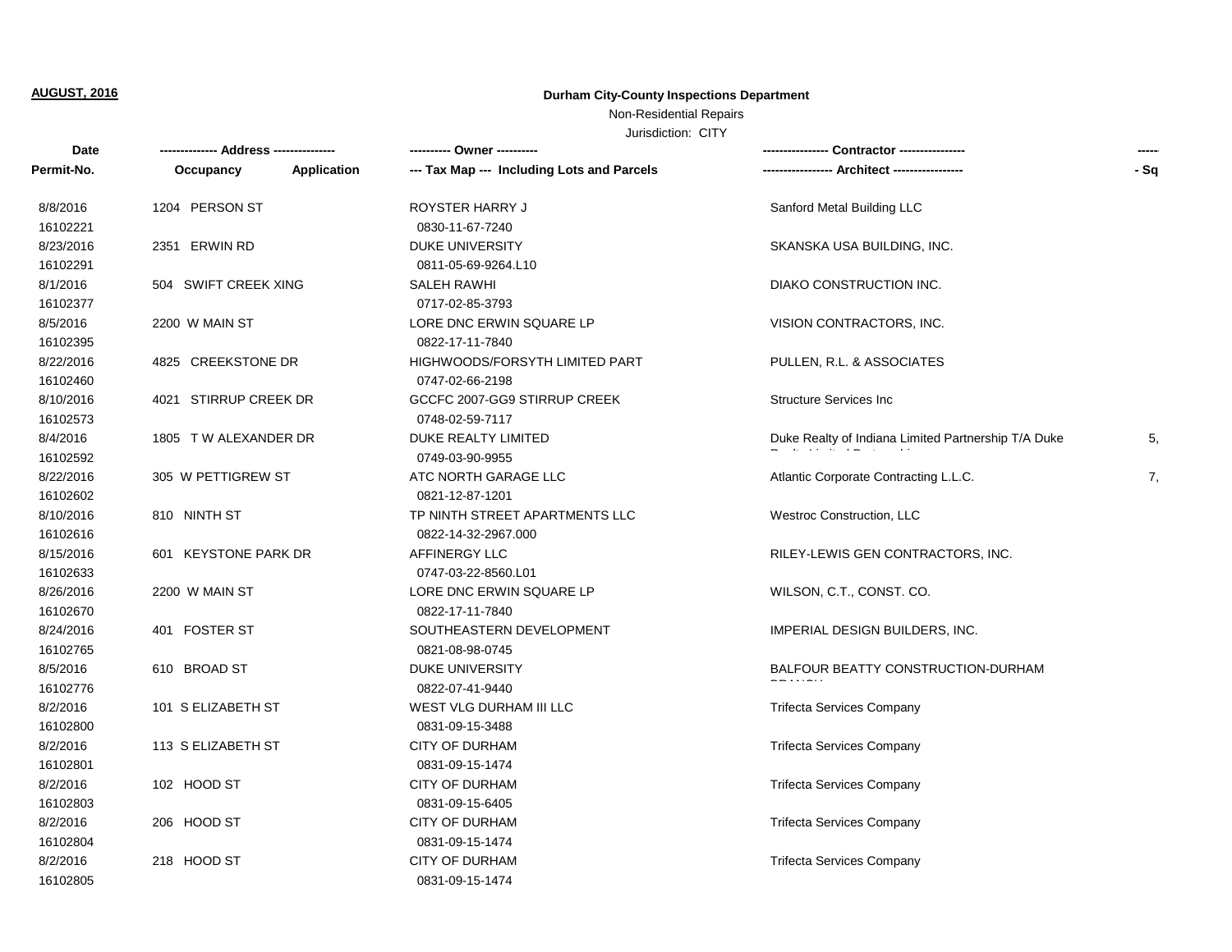Non-Residential Repairs

| Date       |                          |                                            | Contractor ---------------<br>-----------------     | $- - - - -$ |
|------------|--------------------------|--------------------------------------------|-----------------------------------------------------|-------------|
| Permit-No. | Application<br>Occupancy | --- Tax Map --- Including Lots and Parcels |                                                     | $-Sq$       |
| 8/8/2016   | 1204 PERSON ST           | ROYSTER HARRY J                            | Sanford Metal Building LLC                          |             |
| 16102221   |                          | 0830-11-67-7240                            |                                                     |             |
| 8/23/2016  | 2351 ERWIN RD            | <b>DUKE UNIVERSITY</b>                     | SKANSKA USA BUILDING, INC.                          |             |
| 16102291   |                          | 0811-05-69-9264.L10                        |                                                     |             |
| 8/1/2016   | 504 SWIFT CREEK XING     | <b>SALEH RAWHI</b>                         | DIAKO CONSTRUCTION INC.                             |             |
| 16102377   |                          | 0717-02-85-3793                            |                                                     |             |
| 8/5/2016   | 2200 W MAIN ST           | LORE DNC ERWIN SQUARE LP                   | VISION CONTRACTORS, INC.                            |             |
| 16102395   |                          | 0822-17-11-7840                            |                                                     |             |
| 8/22/2016  | 4825 CREEKSTONE DR       | HIGHWOODS/FORSYTH LIMITED PART             | PULLEN, R.L. & ASSOCIATES                           |             |
| 16102460   |                          | 0747-02-66-2198                            |                                                     |             |
| 8/10/2016  | 4021 STIRRUP CREEK DR    | GCCFC 2007-GG9 STIRRUP CREEK               | <b>Structure Services Inc</b>                       |             |
| 16102573   |                          | 0748-02-59-7117                            |                                                     |             |
| 8/4/2016   | 1805 TW ALEXANDER DR     | DUKE REALTY LIMITED                        | Duke Realty of Indiana Limited Partnership T/A Duke | 5,          |
| 16102592   |                          | 0749-03-90-9955                            |                                                     |             |
| 8/22/2016  | 305 W PETTIGREW ST       | ATC NORTH GARAGE LLC                       | Atlantic Corporate Contracting L.L.C.               | 7,          |
| 16102602   |                          | 0821-12-87-1201                            |                                                     |             |
| 8/10/2016  | 810 NINTH ST             | TP NINTH STREET APARTMENTS LLC             | Westroc Construction, LLC                           |             |
| 16102616   |                          | 0822-14-32-2967.000                        |                                                     |             |
| 8/15/2016  | 601 KEYSTONE PARK DR     | AFFINERGY LLC                              | RILEY-LEWIS GEN CONTRACTORS, INC.                   |             |
| 16102633   |                          | 0747-03-22-8560.L01                        |                                                     |             |
| 8/26/2016  | 2200 W MAIN ST           | LORE DNC ERWIN SQUARE LP                   | WILSON, C.T., CONST. CO.                            |             |
| 16102670   |                          | 0822-17-11-7840                            |                                                     |             |
| 8/24/2016  | 401 FOSTER ST            | SOUTHEASTERN DEVELOPMENT                   | IMPERIAL DESIGN BUILDERS, INC.                      |             |
| 16102765   |                          | 0821-08-98-0745                            |                                                     |             |
| 8/5/2016   | 610 BROAD ST             | <b>DUKE UNIVERSITY</b>                     | BALFOUR BEATTY CONSTRUCTION-DURHAM                  |             |
| 16102776   |                          | 0822-07-41-9440                            |                                                     |             |
| 8/2/2016   | 101 S ELIZABETH ST       | WEST VLG DURHAM III LLC                    | <b>Trifecta Services Company</b>                    |             |
| 16102800   |                          | 0831-09-15-3488                            |                                                     |             |
| 8/2/2016   | 113 S ELIZABETH ST       | <b>CITY OF DURHAM</b>                      | <b>Trifecta Services Company</b>                    |             |
| 16102801   |                          | 0831-09-15-1474                            |                                                     |             |
| 8/2/2016   | 102 HOOD ST              | <b>CITY OF DURHAM</b>                      | <b>Trifecta Services Company</b>                    |             |
| 16102803   |                          | 0831-09-15-6405                            |                                                     |             |
| 8/2/2016   | 206 HOOD ST              | <b>CITY OF DURHAM</b>                      | <b>Trifecta Services Company</b>                    |             |
| 16102804   |                          | 0831-09-15-1474                            |                                                     |             |
| 8/2/2016   | 218 HOOD ST              | <b>CITY OF DURHAM</b>                      | <b>Trifecta Services Company</b>                    |             |
| 16102805   |                          | 0831-09-15-1474                            |                                                     |             |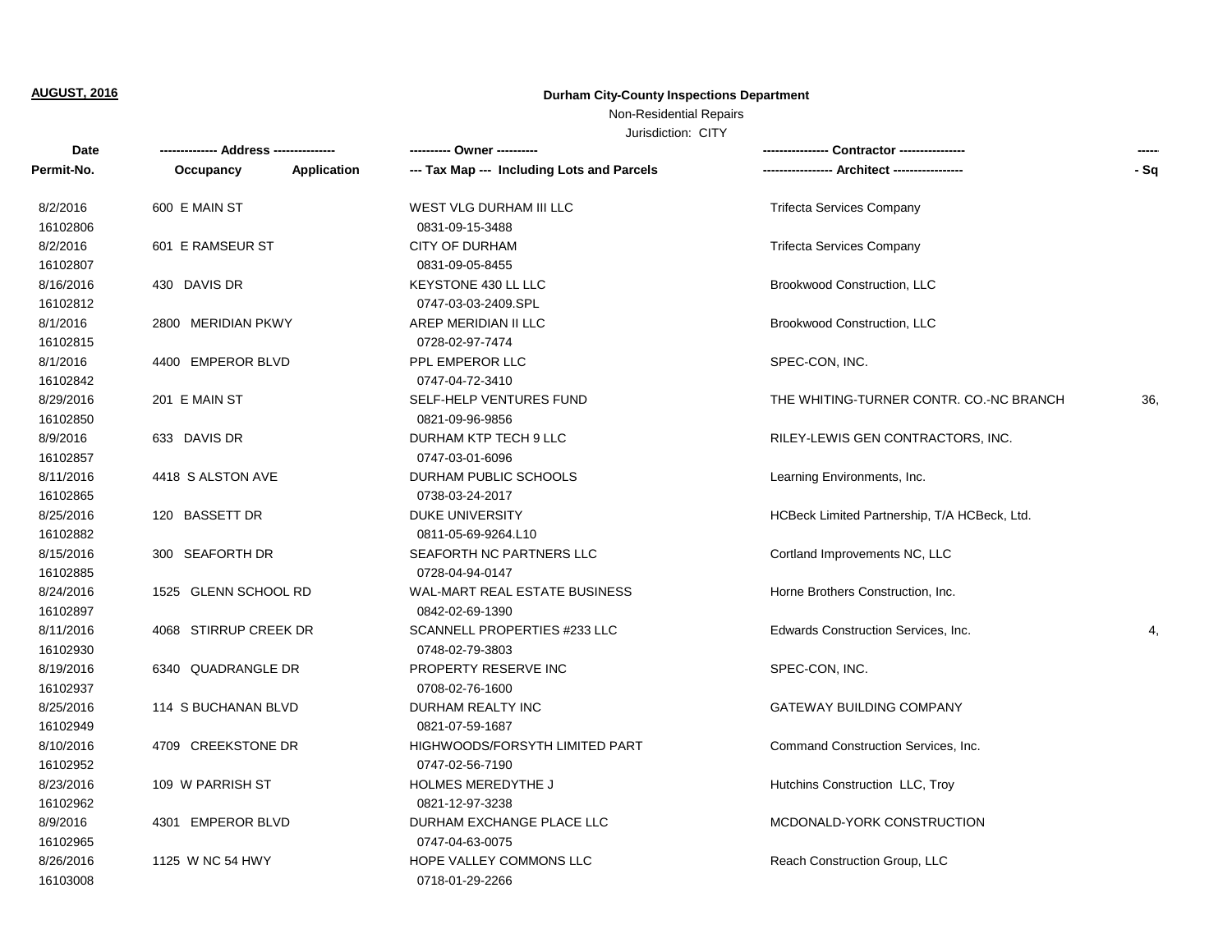Non-Residential Repairs

| Date       |                       |             |                                            | Contractor ---------------<br>-------------  | $- - - - -$ |
|------------|-----------------------|-------------|--------------------------------------------|----------------------------------------------|-------------|
| Permit-No. | Occupancy             | Application | --- Tax Map --- Including Lots and Parcels | ---- Architect ------------------            | $-Sq$       |
| 8/2/2016   | 600 E MAIN ST         |             | WEST VLG DURHAM III LLC                    | <b>Trifecta Services Company</b>             |             |
| 16102806   |                       |             | 0831-09-15-3488                            |                                              |             |
| 8/2/2016   | 601 E RAMSEUR ST      |             | <b>CITY OF DURHAM</b>                      | <b>Trifecta Services Company</b>             |             |
| 16102807   |                       |             | 0831-09-05-8455                            |                                              |             |
| 8/16/2016  | 430 DAVIS DR          |             | KEYSTONE 430 LL LLC                        | Brookwood Construction, LLC                  |             |
| 16102812   |                       |             | 0747-03-03-2409.SPL                        |                                              |             |
| 8/1/2016   | 2800 MERIDIAN PKWY    |             | AREP MERIDIAN II LLC                       | Brookwood Construction, LLC                  |             |
| 16102815   |                       |             | 0728-02-97-7474                            |                                              |             |
| 8/1/2016   | 4400 EMPEROR BLVD     |             | PPL EMPEROR LLC                            | SPEC-CON, INC.                               |             |
| 16102842   |                       |             | 0747-04-72-3410                            |                                              |             |
| 8/29/2016  | 201 E MAIN ST         |             | SELF-HELP VENTURES FUND                    | THE WHITING-TURNER CONTR. CO.-NC BRANCH      | 36,         |
| 16102850   |                       |             | 0821-09-96-9856                            |                                              |             |
| 8/9/2016   | 633 DAVIS DR          |             | DURHAM KTP TECH 9 LLC                      | RILEY-LEWIS GEN CONTRACTORS, INC.            |             |
| 16102857   |                       |             | 0747-03-01-6096                            |                                              |             |
| 8/11/2016  | 4418 S ALSTON AVE     |             | DURHAM PUBLIC SCHOOLS                      | Learning Environments, Inc.                  |             |
| 16102865   |                       |             | 0738-03-24-2017                            |                                              |             |
| 8/25/2016  | 120 BASSETT DR        |             | <b>DUKE UNIVERSITY</b>                     | HCBeck Limited Partnership, T/A HCBeck, Ltd. |             |
| 16102882   |                       |             | 0811-05-69-9264.L10                        |                                              |             |
| 8/15/2016  | 300 SEAFORTH DR       |             | SEAFORTH NC PARTNERS LLC                   | Cortland Improvements NC, LLC                |             |
| 16102885   |                       |             | 0728-04-94-0147                            |                                              |             |
| 8/24/2016  | 1525 GLENN SCHOOL RD  |             | WAL-MART REAL ESTATE BUSINESS              | Horne Brothers Construction, Inc.            |             |
| 16102897   |                       |             | 0842-02-69-1390                            |                                              |             |
| 8/11/2016  | 4068 STIRRUP CREEK DR |             | SCANNELL PROPERTIES #233 LLC               | Edwards Construction Services, Inc.          | 4,          |
| 16102930   |                       |             | 0748-02-79-3803                            |                                              |             |
| 8/19/2016  | 6340 QUADRANGLE DR    |             | PROPERTY RESERVE INC                       | SPEC-CON, INC.                               |             |
| 16102937   |                       |             | 0708-02-76-1600                            |                                              |             |
| 8/25/2016  | 114 S BUCHANAN BLVD   |             | DURHAM REALTY INC                          | <b>GATEWAY BUILDING COMPANY</b>              |             |
| 16102949   |                       |             | 0821-07-59-1687                            |                                              |             |
| 8/10/2016  | 4709 CREEKSTONE DR    |             | HIGHWOODS/FORSYTH LIMITED PART             | Command Construction Services, Inc.          |             |
| 16102952   |                       |             | 0747-02-56-7190                            |                                              |             |
| 8/23/2016  | 109 W PARRISH ST      |             | HOLMES MEREDYTHE J                         | Hutchins Construction LLC, Troy              |             |
| 16102962   |                       |             | 0821-12-97-3238                            |                                              |             |
| 8/9/2016   | 4301 EMPEROR BLVD     |             | DURHAM EXCHANGE PLACE LLC                  | MCDONALD-YORK CONSTRUCTION                   |             |
| 16102965   |                       |             | 0747-04-63-0075                            |                                              |             |
| 8/26/2016  | 1125 W NC 54 HWY      |             | <b>HOPE VALLEY COMMONS LLC</b>             | Reach Construction Group, LLC                |             |
| 16103008   |                       |             | 0718-01-29-2266                            |                                              |             |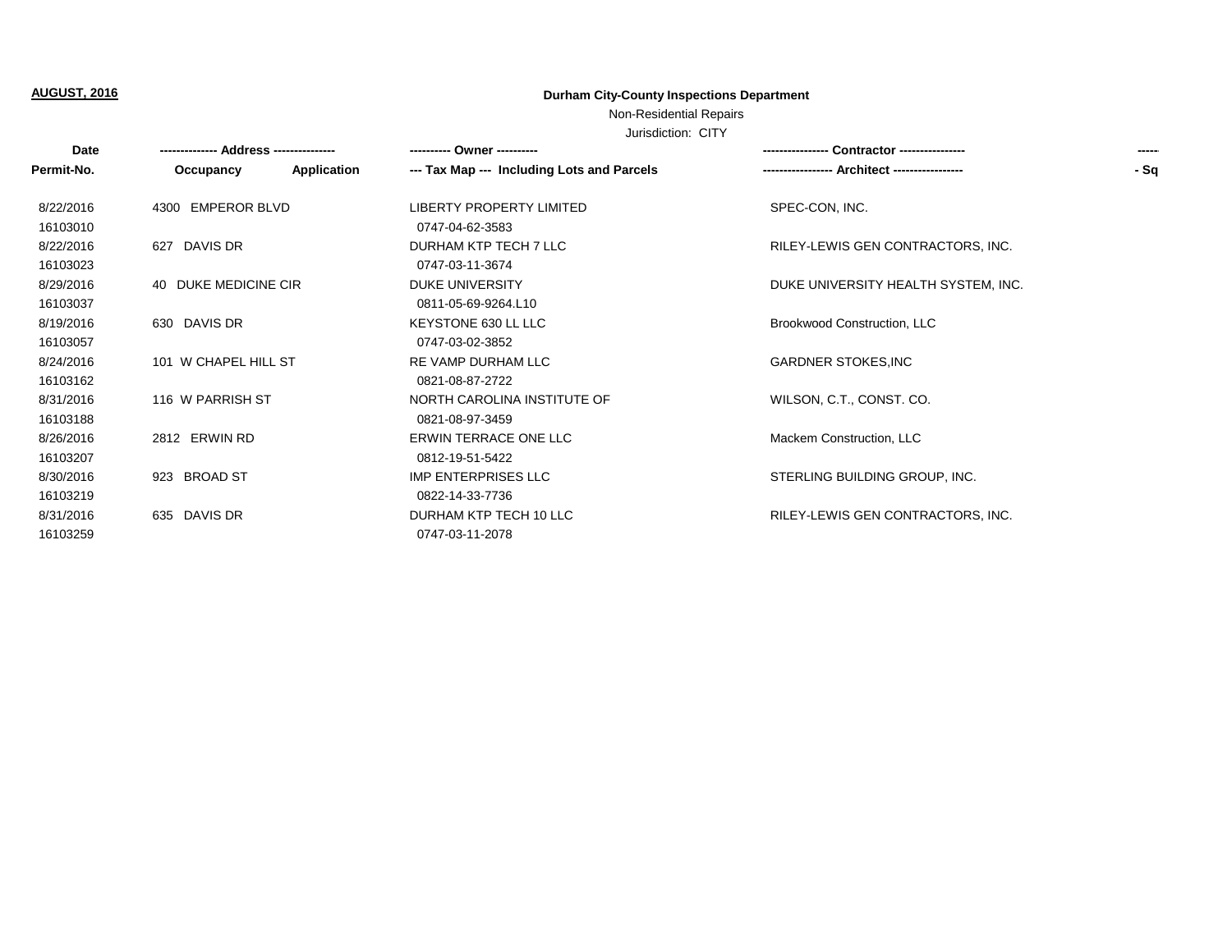Non-Residential Repairs

| Date       |                      |             | ---------- Owner ----------                | <b>Contractor</b> ----------------  | ----- |
|------------|----------------------|-------------|--------------------------------------------|-------------------------------------|-------|
| Permit-No. | Occupancy            | Application | --- Tax Map --- Including Lots and Parcels | <b>Architect -----------------</b>  | - Sq  |
| 8/22/2016  | 4300 EMPEROR BLVD    |             | <b>LIBERTY PROPERTY LIMITED</b>            | SPEC-CON, INC.                      |       |
| 16103010   |                      |             | 0747-04-62-3583                            |                                     |       |
| 8/22/2016  | 627 DAVIS DR         |             | DURHAM KTP TECH 7 LLC                      | RILEY-LEWIS GEN CONTRACTORS, INC.   |       |
| 16103023   |                      |             | 0747-03-11-3674                            |                                     |       |
| 8/29/2016  | 40 DUKE MEDICINE CIR |             | DUKE UNIVERSITY                            | DUKE UNIVERSITY HEALTH SYSTEM, INC. |       |
| 16103037   |                      |             | 0811-05-69-9264.L10                        |                                     |       |
| 8/19/2016  | 630 DAVIS DR         |             | KEYSTONE 630 LL LLC                        | Brookwood Construction, LLC         |       |
| 16103057   |                      |             | 0747-03-02-3852                            |                                     |       |
| 8/24/2016  | 101 W CHAPEL HILL ST |             | RE VAMP DURHAM LLC                         | <b>GARDNER STOKES, INC</b>          |       |
| 16103162   |                      |             | 0821-08-87-2722                            |                                     |       |
| 8/31/2016  | 116 W PARRISH ST     |             | NORTH CAROLINA INSTITUTE OF                | WILSON, C.T., CONST. CO.            |       |
| 16103188   |                      |             | 0821-08-97-3459                            |                                     |       |
| 8/26/2016  | 2812 ERWIN RD        |             | <b>ERWIN TERRACE ONE LLC</b>               | Mackem Construction, LLC            |       |
| 16103207   |                      |             | 0812-19-51-5422                            |                                     |       |
| 8/30/2016  | 923 BROAD ST         |             | IMP ENTERPRISES LLC                        | STERLING BUILDING GROUP, INC.       |       |
| 16103219   |                      |             | 0822-14-33-7736                            |                                     |       |
| 8/31/2016  | 635 DAVIS DR         |             | DURHAM KTP TECH 10 LLC                     | RILEY-LEWIS GEN CONTRACTORS, INC.   |       |
| 16103259   |                      |             | 0747-03-11-2078                            |                                     |       |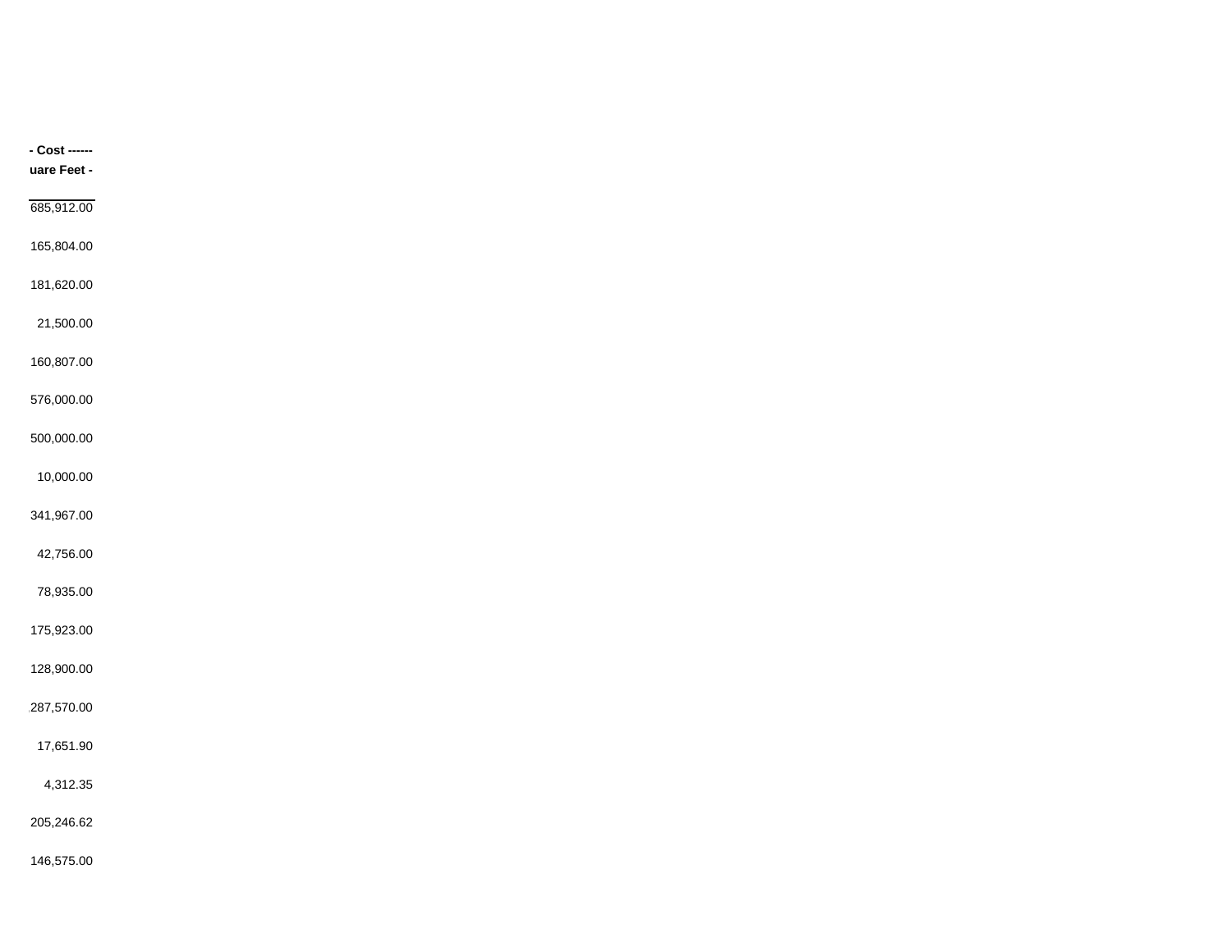| - Cost ------ |
|---------------|
| uare Feet -   |
| 685,912.00    |
| 165,804.00    |
|               |
| 181,620.00    |
| 21,500.00     |
| 160,807.00    |
| 576,000.00    |
|               |
| 500,000.00    |
| 10,000.00     |
| 341,967.00    |
| 42,756.00     |
| 78,935.00     |
|               |
| 175,923.00    |
| 128,900.00    |
| 287,570.00    |
| 17,651.90     |
| 4,312.35      |
|               |
| 205,246.62    |
| 146,575.00    |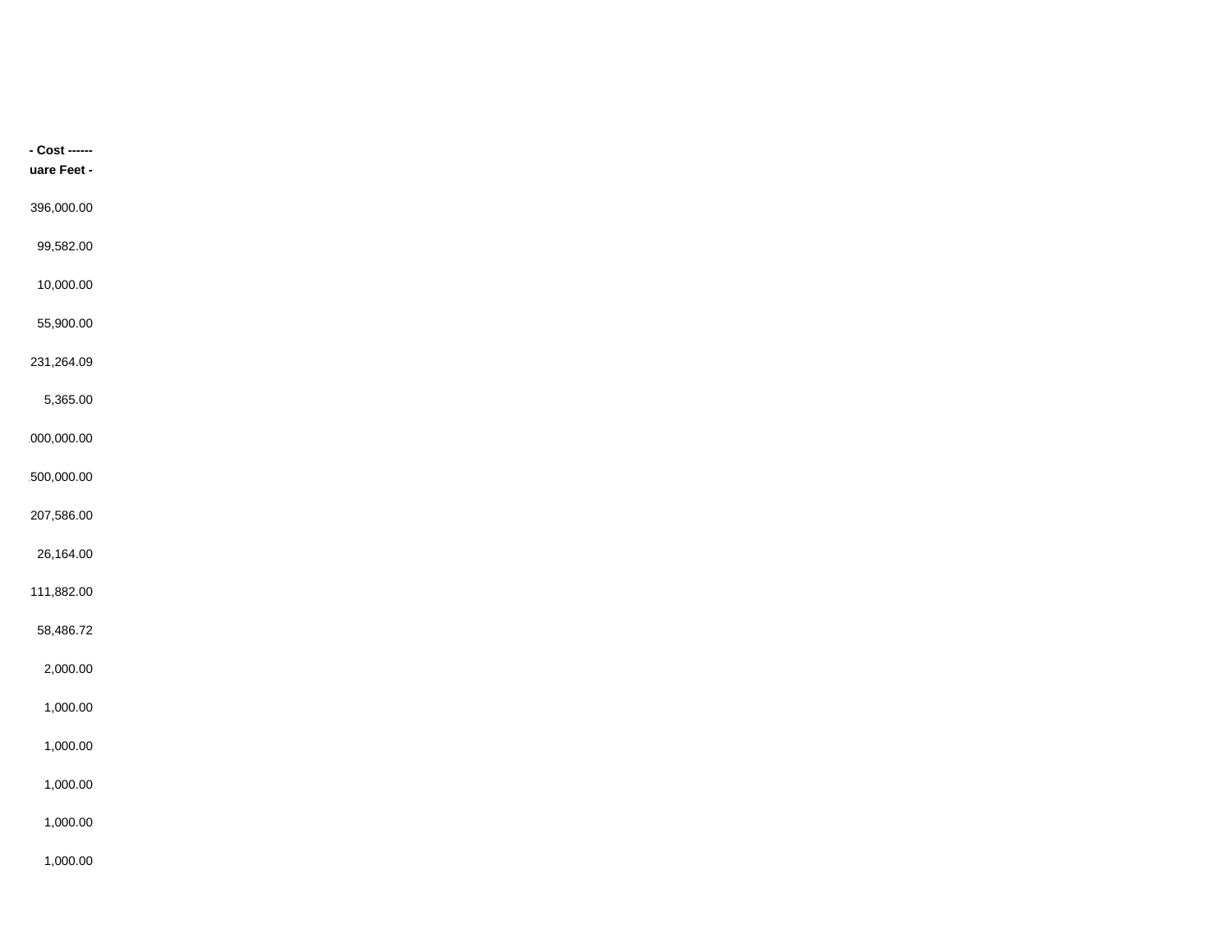| - Cost ------ |
|---------------|
| uare Feet -   |
|               |
| 396,000.00    |
| 99,582.00     |
| 10,000.00     |
|               |
| 55,900.00     |
| 231,264.09    |
| 5,365.00      |
|               |
| 000,000.00    |
| 500,000.00    |
| 207,586.00    |
|               |
| 26,164.00     |
| 111,882.00    |
| 58,486.72     |
|               |
| 2,000.00      |
| 1,000.00      |
| 1,000.00      |
|               |
| 1,000.00      |
| 1,000.00      |
| 1,000.00      |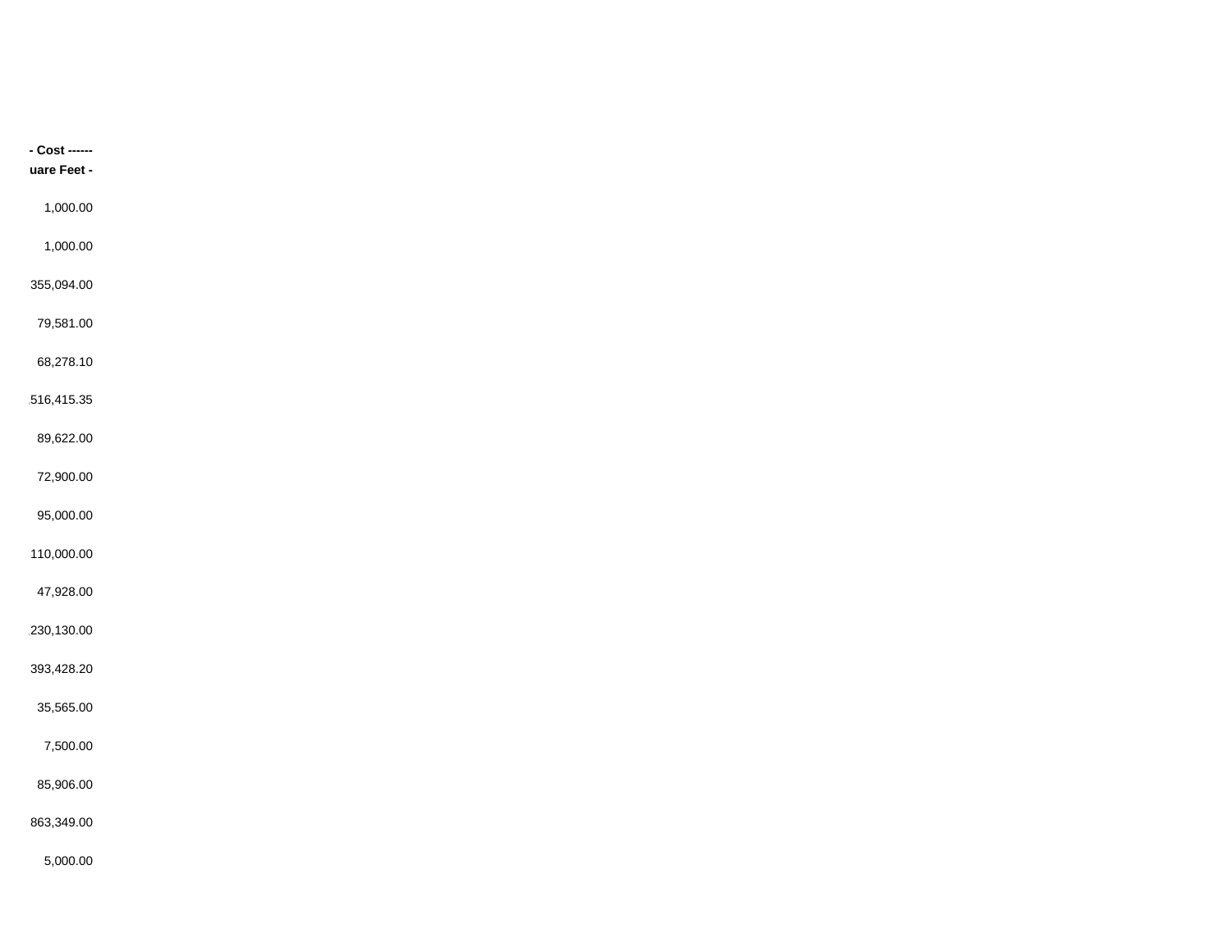| - Cost ------ |
|---------------|
| uare Feet -   |
|               |
| 1,000.00      |
| 1,000.00      |
|               |
| 355,094.00    |
| 79,581.00     |
| 68,278.10     |
|               |
| 516,415.35    |
| 89,622.00     |
| 72,900.00     |
|               |
| 95,000.00     |
| 110,000.00    |
| 47,928.00     |
|               |
| 230,130.00    |
| 393,428.20    |
| 35,565.00     |
|               |
| 7,500.00      |
| 85,906.00     |
| 863,349.00    |
|               |
| 5,000.00      |